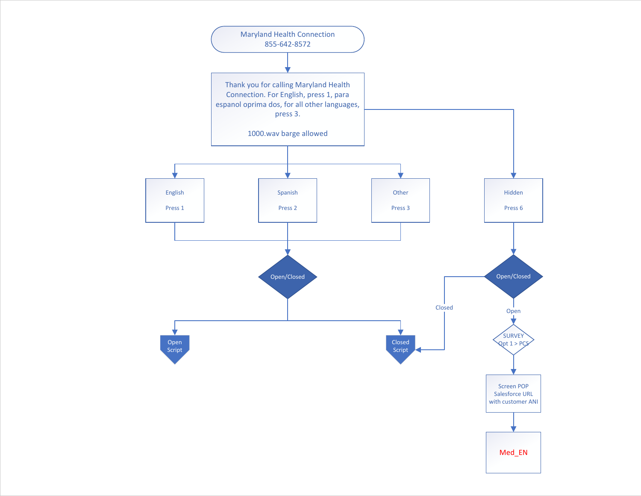<span id="page-0-0"></span>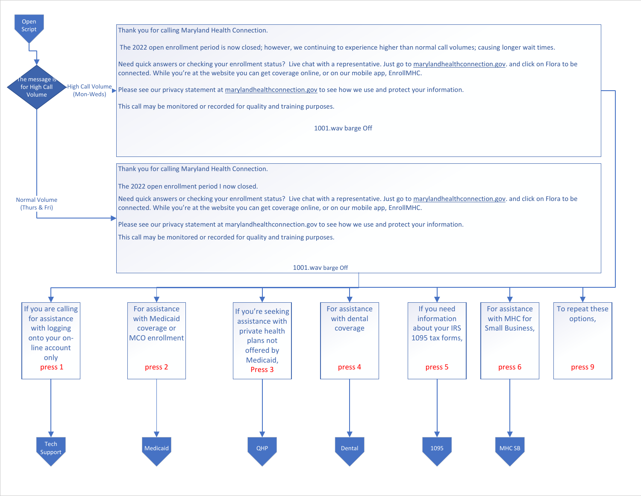<span id="page-1-0"></span>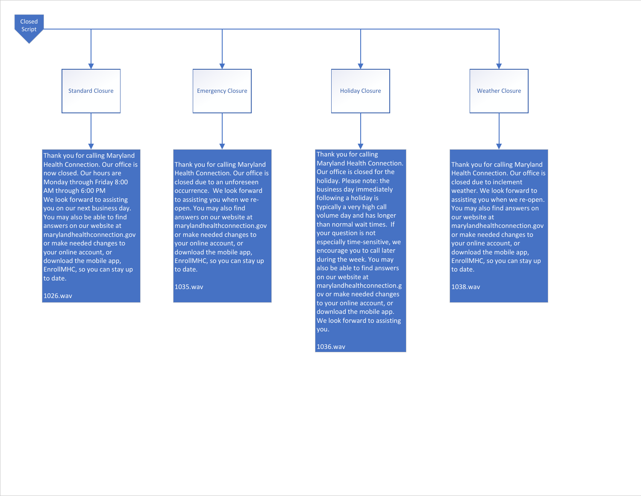<span id="page-2-0"></span>



1026.wav

Thank you for calling Maryland Health Connection. Our office is closed due to an unforeseen occurrence. We look forward to assisting you when we reopen. You may also find answers on our website at marylandhealthconnection.gov or make needed changes to your online account, or download the mobile app, EnrollMHC, so you can stay up to date.

1035.wav

Thank you for calling Maryland Health Connection. Our office is closed for the holiday. Please note: the business day immediately following a holiday is typically a very high call volume day and has longer than normal wait times. If your question is not especially time-sensitive, we encourage you to call later during the week. You may also be able to find answers on our website at marylandhealthconnection.g ov or make needed changes to your online account, or download the mobile app. We look forward to assisting you.

1036.wav

Thank you for calling Maryland Health Connection. Our office is closed due to inclement weather. We look forward to assisting you when we re-open. You may also find answers on our website at marylandhealthconnection.gov or make needed changes to your online account, or download the mobile app, EnrollMHC, so you can stay up to date.

1038.wav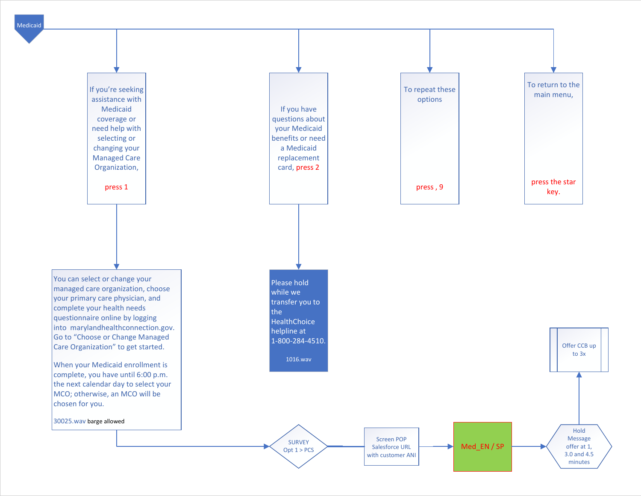<span id="page-3-0"></span>

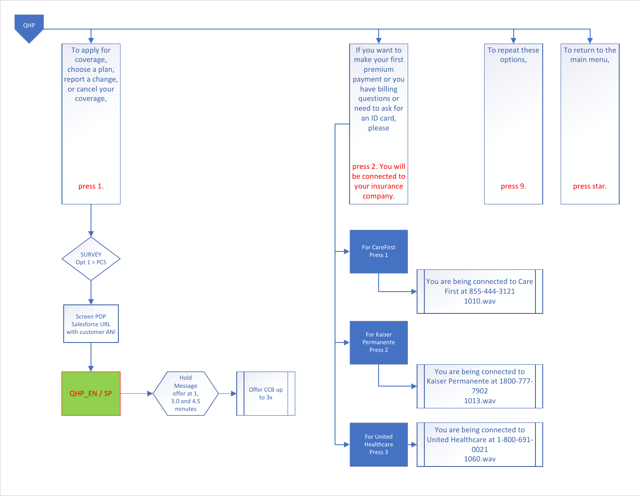<span id="page-4-0"></span>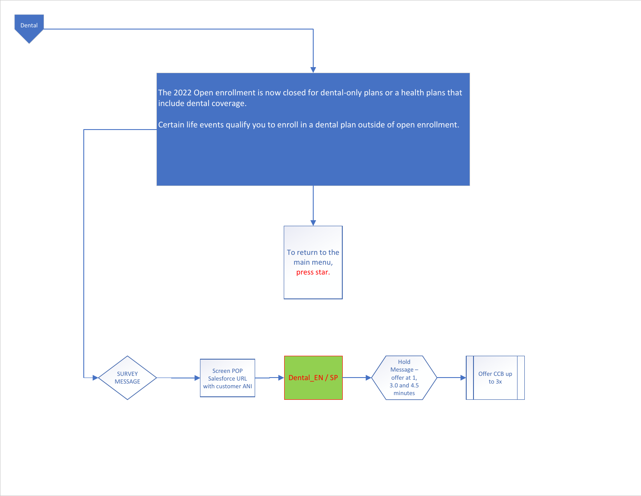

<span id="page-5-0"></span>[Dental](#page-1-0)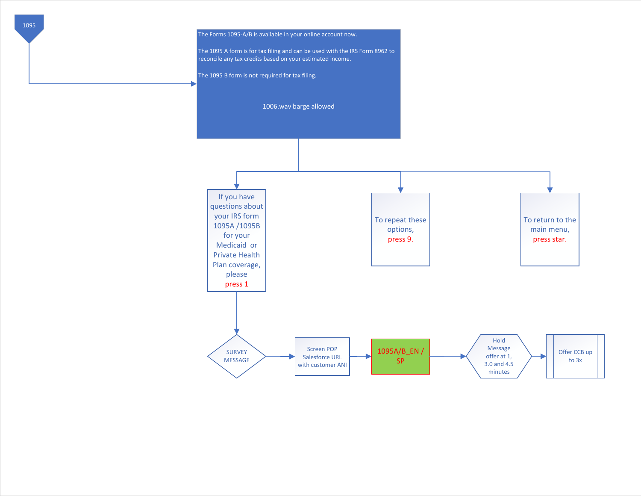<span id="page-6-0"></span>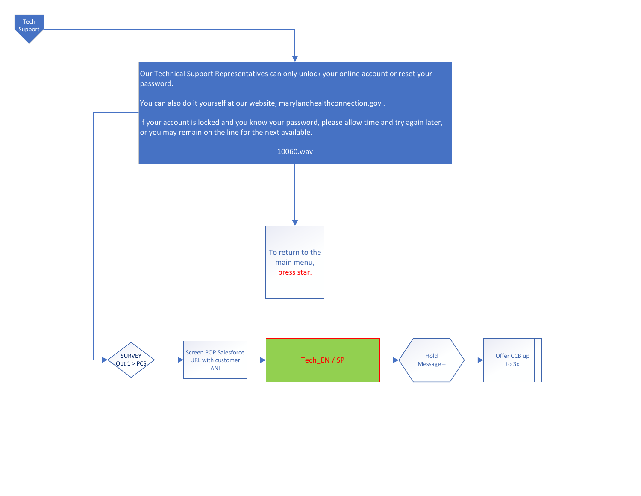<span id="page-7-0"></span>

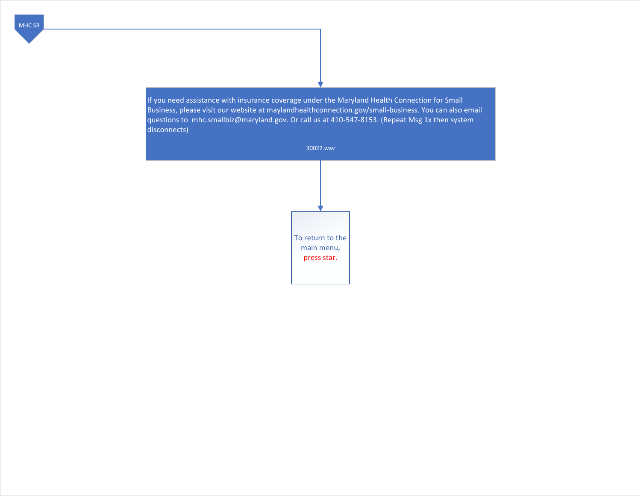<span id="page-8-0"></span>If you need assistance with insurance coverage under the Maryland Health Connection for Small Business, please visit our website at maylandhealthconnection.gov/small-business. You can also email questions to mhc.smallbiz@maryland.gov. Or call us at 410-547-8153. (Repeat Msg 1x then system disconnects)

30022.wav

To return to the main menu, press star.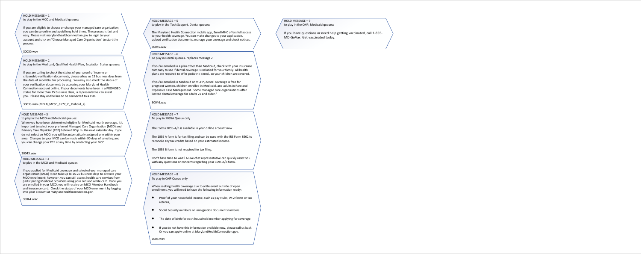# HOLD MESSAGE – 1

to play in the MCO and Medicaid queues:

If you are eligible to choose or change your managed care organization, you can do so online and avoid long hold times. The process is fast and easy. Please visit marylandhealthconnection.gov to login to your account and click on "Choose Managed Care Organization" to start the process.

## 30030.wav

## HOLD MESSAGE – 2

to play in the Medicaid, Qualified Health Plan, Escalation Status queues:

If you are calling to check the status of your proof of income or citizenship verification documents, please allow us 15 business days from the date of submittal for processing. You may also check the status of your verification documents by accessing your Maryland Health Connection account online. If your documents have been in a PROVIDED status for more than 15 business days, a representative can assist you. Please stay on the line to be connected to a CSR.

30033.wav (MDLB\_MCSC\_8572\_Q\_Onhold\_2)

## HOLD MESSAGE – 3

to play in the MCO and Medicaid queues:

When you have been determined eligible for Medicaid health coverage, it's important to select your preferred Managed Care Organization (MCO) and Primary Care Physician (PCP) before 6:00 p.m. the next calendar day. If you do not select an MCO, you will be automatically assigned one within your area. Changes to your MCO can be made within 90 days of selecting and you can change your PCP at any time by contacting your MCO.

#### 30043.wav

HOLD MESSAGE – 4 to play in the MCO and Medicaid queues:

If you applied for Medicaid coverage and selected your managed care organization (MCO) it can take up to 15-20 business days to activate your MCO enrollment; however, you can still access health care services from participating Medicaid providers using your red and white card. Once you are enrolled in your MCO, you will receive an MCO Member Handbook and insurance card. Check the status of your MCO enrollment by logging into your account at marylandhealthconnection.gov.

30044.wav

# HOLD MESSAGE – 5

to play in the Tech Support, Dental queues:

The Maryland Health Connection mobile app, EnrollMHC offers full access to your health coverage. You can make changes to your application, upload verification documents, manage your coverage and check notices.

30045.wav

# HOLD MESSAGE – 6

To play in Dental queues- replaces message 2

If you're enrolled in a plan other than Medicaid, check with your insurance company to see if dental coverage is included for your family. All health plans are required to offer pediatric dental, so your children are covered.

If you're enrolled in Medicaid or MCHP, dental coverage is free for pregnant women, children enrolled in Medicaid, and adults in Rare and Expensive Case Management. Some managed care organizations offer limited dental coverage for adults 21 and older."

30046.wav

HOLD MESSAGE – 7 To play in 1095A Queue only

The Forms 1095-A/B is available in your online account now.

The 1095 A form is for tax filing and can be used with the IRS Form 8962 to reconcile any tax credits based on your estimated income.

The 1095 B form is not required for tax filing.

Don't have time to wait? A Live chat representative can quickly assist you with any questions or concerns regarding your 1095 A/B form.

## HOLD MESSAGE – 8

To play in QHP Queue only

When seeking health coverage due to a life event outside of open enrollment, you will need to have the following information ready:

- Proof of your household income, such as pay stubs, W-2 forms or tax returns,
- Social Security numbers or immigration document numbers
- The date of birth for each household member applying for coverage
- If you do not have this information available now, please call us back. Or you can apply online at MarylandHealthConnection.gov.

1008.wav

# HOLD MESSAGE – 9 to play in the QHP, Medicaid queues:

If you have questions or need help getting vaccinated, call 1-855- MD-GoVax. Get vaccinated today.